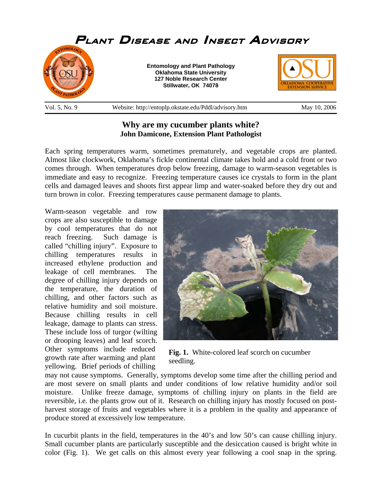

## **Why are my cucumber plants white? John Damicone, Extension Plant Pathologist**

Each spring temperatures warm, sometimes prematurely, and vegetable crops are planted. Almost like clockwork, Oklahoma's fickle continental climate takes hold and a cold front or two comes through. When temperatures drop below freezing, damage to warm-season vegetables is immediate and easy to recognize. Freezing temperature causes ice crystals to form in the plant cells and damaged leaves and shoots first appear limp and water-soaked before they dry out and turn brown in color. Freezing temperatures cause permanent damage to plants.

Warm-season vegetable and row crops are also susceptible to damage by cool temperatures that do not reach freezing. Such damage is called "chilling injury". Exposure to chilling temperatures results in increased ethylene production and leakage of cell membranes. The degree of chilling injury depends on the temperature, the duration of chilling, and other factors such as relative humidity and soil moisture. Because chilling results in cell leakage, damage to plants can stress. These include loss of turgor (wilting or drooping leaves) and leaf scorch. Other symptoms include reduced growth rate after warming and plant yellowing. Brief periods of chilling



**Fig. 1.** White-colored leaf scorch on cucumber seedling.

may not cause symptoms. Generally, symptoms develop some time after the chilling period and are most severe on small plants and under conditions of low relative humidity and/or soil moisture. Unlike freeze damage, symptoms of chilling injury on plants in the field are reversible, i.e. the plants grow out of it. Research on chilling injury has mostly focused on postharvest storage of fruits and vegetables where it is a problem in the quality and appearance of produce stored at excessively low temperature.

In cucurbit plants in the field, temperatures in the 40's and low 50's can cause chilling injury. Small cucumber plants are particularly susceptible and the desiccation caused is bright white in color (Fig. 1). We get calls on this almost every year following a cool snap in the spring.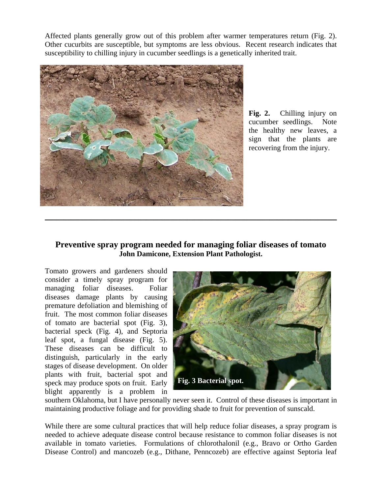Affected plants generally grow out of this problem after warmer temperatures return (Fig. 2). Other cucurbits are susceptible, but symptoms are less obvious. Recent research indicates that susceptibility to chilling injury in cucumber seedlings is a genetically inherited trait.



**Fig. 2.** Chilling injury on cucumber seedlings. Note the healthy new leaves, a sign that the plants are recovering from the injury.

## **Preventive spray program needed for managing foliar diseases of tomato John Damicone, Extension Plant Pathologist.**

 $\_$  , and the set of the set of the set of the set of the set of the set of the set of the set of the set of the set of the set of the set of the set of the set of the set of the set of the set of the set of the set of th

Tomato growers and gardeners should consider a timely spray program for managing foliar diseases. Foliar diseases damage plants by causing premature defoliation and blemishing of fruit. The most common foliar diseases of tomato are bacterial spot (Fig. 3), bacterial speck (Fig. 4), and Septoria leaf spot, a fungal disease (Fig. 5). These diseases can be difficult to distinguish, particularly in the early stages of disease development. On older plants with fruit, bacterial spot and speck may produce spots on fruit. Early blight apparently is a problem in



southern Oklahoma, but I have personally never seen it. Control of these diseases is important in maintaining productive foliage and for providing shade to fruit for prevention of sunscald.

While there are some cultural practices that will help reduce foliar diseases, a spray program is needed to achieve adequate disease control because resistance to common foliar diseases is not available in tomato varieties. Formulations of chlorothalonil (e.g., Bravo or Ortho Garden Disease Control) and mancozeb (e.g., Dithane, Penncozeb) are effective against Septoria leaf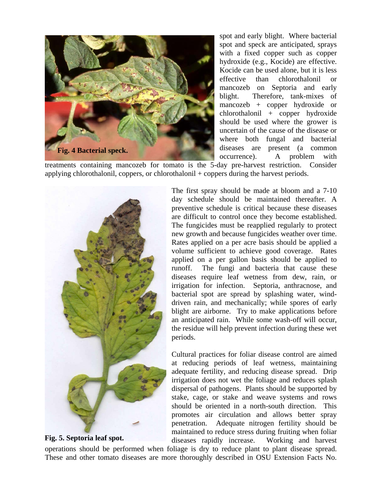

spot and early blight. Where bacterial spot and speck are anticipated, sprays with a fixed copper such as copper hydroxide (e.g., Kocide) are effective. Kocide can be used alone, but it is less effective than chlorothalonil or mancozeb on Septoria and early blight. Therefore, tank-mixes of mancozeb + copper hydroxide or chlorothalonil + copper hydroxide should be used where the grower is uncertain of the cause of the disease or where both fungal and bacterial diseases are present (a common occurrence). A problem with

treatments containing mancozeb for tomato is the 5-day pre-harvest restriction. Consider applying chlorothalonil, coppers, or chlorothalonil + coppers during the harvest periods.



**Fig. 5. Septoria leaf spot.** 

The first spray should be made at bloom and a 7-10 day schedule should be maintained thereafter. A preventive schedule is critical because these diseases are difficult to control once they become established. The fungicides must be reapplied regularly to protect new growth and because fungicides weather over time. Rates applied on a per acre basis should be applied a volume sufficient to achieve good coverage. Rates applied on a per gallon basis should be applied to runoff. The fungi and bacteria that cause these diseases require leaf wetness from dew, rain, or irrigation for infection. Septoria, anthracnose, and bacterial spot are spread by splashing water, winddriven rain, and mechanically; while spores of early blight are airborne. Try to make applications before an anticipated rain. While some wash-off will occur, the residue will help prevent infection during these wet periods.

Cultural practices for foliar disease control are aimed at reducing periods of leaf wetness, maintaining adequate fertility, and reducing disease spread. Drip irrigation does not wet the foliage and reduces splash dispersal of pathogens. Plants should be supported by stake, cage, or stake and weave systems and rows should be oriented in a north-south direction. This promotes air circulation and allows better spray penetration. Adequate nitrogen fertility should be maintained to reduce stress during fruiting when foliar diseases rapidly increase. Working and harvest

operations should be performed when foliage is dry to reduce plant to plant disease spread. These and other tomato diseases are more thoroughly described in OSU Extension Facts No.